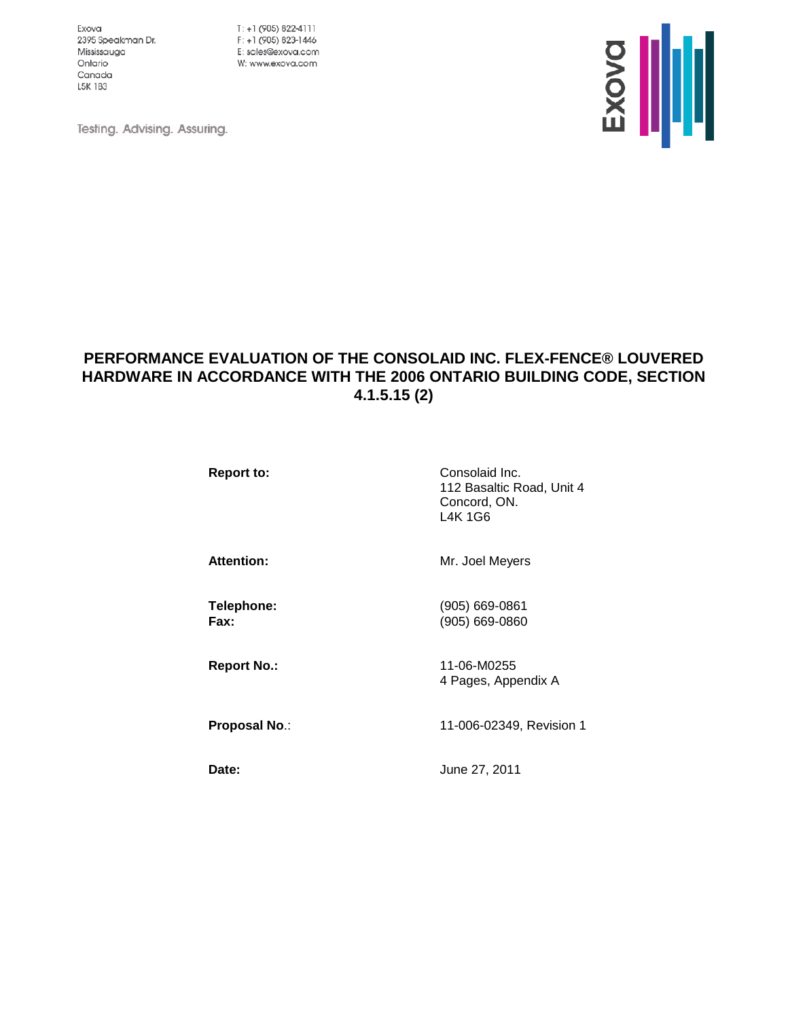Exova 2395 Speakman Dr. Mississauga Ontario Canada L5K 1B3

 $T: +1$  (905) 822-4111 F: +1 (905) 823-1446 E: sales@exova.com W: www.exova.com



Testing. Advising. Assuring.

# **PERFORMANCE EVALUATION OF THE CONSOLAID INC. FLEX-FENCE® LOUVERED HARDWARE IN ACCORDANCE WITH THE 2006 ONTARIO BUILDING CODE, SECTION 4.1.5.15 (2)**

**Report to:** Consolaid Inc. 112 Basaltic Road, Unit 4 Concord, ON. L4K 1G6

Attention: Mr. Joel Meyers

**Telephone:** (905) 669-0861 **Fax:** (905) 669-0860

**Report No.:** 11-06-M0255

4 Pages, Appendix A

**Proposal No**.: 11-006-02349, Revision 1

**Date:** June 27, 2011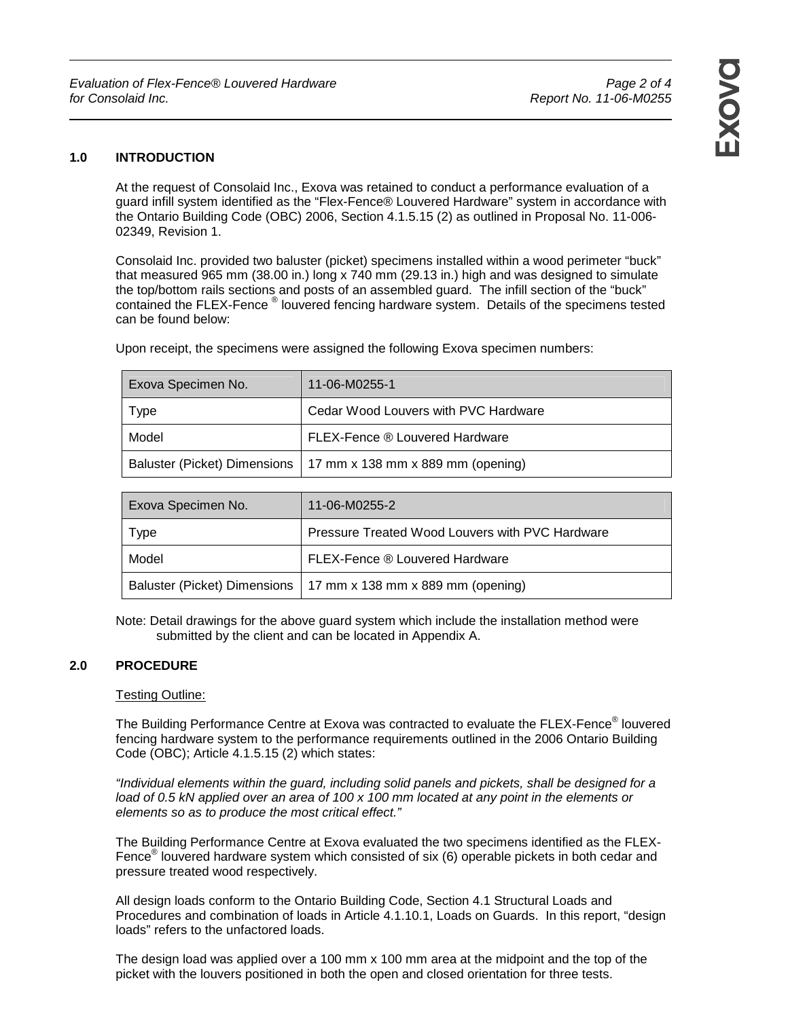### **1.0 INTRODUCTION**

At the request of Consolaid Inc., Exova was retained to conduct a performance evaluation of a guard infill system identified as the "Flex-Fence® Louvered Hardware" system in accordance with the Ontario Building Code (OBC) 2006, Section 4.1.5.15 (2) as outlined in Proposal No. 11-006- 02349, Revision 1.

Consolaid Inc. provided two baluster (picket) specimens installed within a wood perimeter "buck" that measured 965 mm (38.00 in.) long x 740 mm (29.13 in.) high and was designed to simulate the top/bottom rails sections and posts of an assembled guard. The infill section of the "buck" contained the FLEX-Fence <sup>®</sup> louvered fencing hardware system. Details of the specimens tested can be found below:

| <b>Exova Specimen No.</b> | 11-06-M0255-1                                                    |
|---------------------------|------------------------------------------------------------------|
| Type                      | Cedar Wood Louvers with PVC Hardware                             |
| Model                     | FLEX-Fence ® Louvered Hardware                                   |
|                           | Baluster (Picket) Dimensions   17 mm x 138 mm x 889 mm (opening) |

Upon receipt, the specimens were assigned the following Exova specimen numbers:

| <b>Exova Specimen No.</b> | 11-06-M0255-2                                                    |
|---------------------------|------------------------------------------------------------------|
| Type                      | Pressure Treated Wood Louvers with PVC Hardware                  |
| Model                     | FLEX-Fence ® Louvered Hardware                                   |
|                           | Baluster (Picket) Dimensions   17 mm x 138 mm x 889 mm (opening) |

Note: Detail drawings for the above guard system which include the installation method were submitted by the client and can be located in Appendix A.

#### **2.0 PROCEDURE**

#### Testing Outline:

The Building Performance Centre at Exova was contracted to evaluate the FLEX-Fence® louvered fencing hardware system to the performance requirements outlined in the 2006 Ontario Building Code (OBC); Article 4.1.5.15 (2) which states:

"Individual elements within the guard, including solid panels and pickets, shall be designed for a load of 0.5 kN applied over an area of 100 x 100 mm located at any point in the elements or elements so as to produce the most critical effect."

The Building Performance Centre at Exova evaluated the two specimens identified as the FLEX-Fence<sup>®</sup> louvered hardware system which consisted of six (6) operable pickets in both cedar and pressure treated wood respectively.

All design loads conform to the Ontario Building Code, Section 4.1 Structural Loads and Procedures and combination of loads in Article 4.1.10.1, Loads on Guards. In this report, "design loads" refers to the unfactored loads.

The design load was applied over a 100 mm x 100 mm area at the midpoint and the top of the picket with the louvers positioned in both the open and closed orientation for three tests.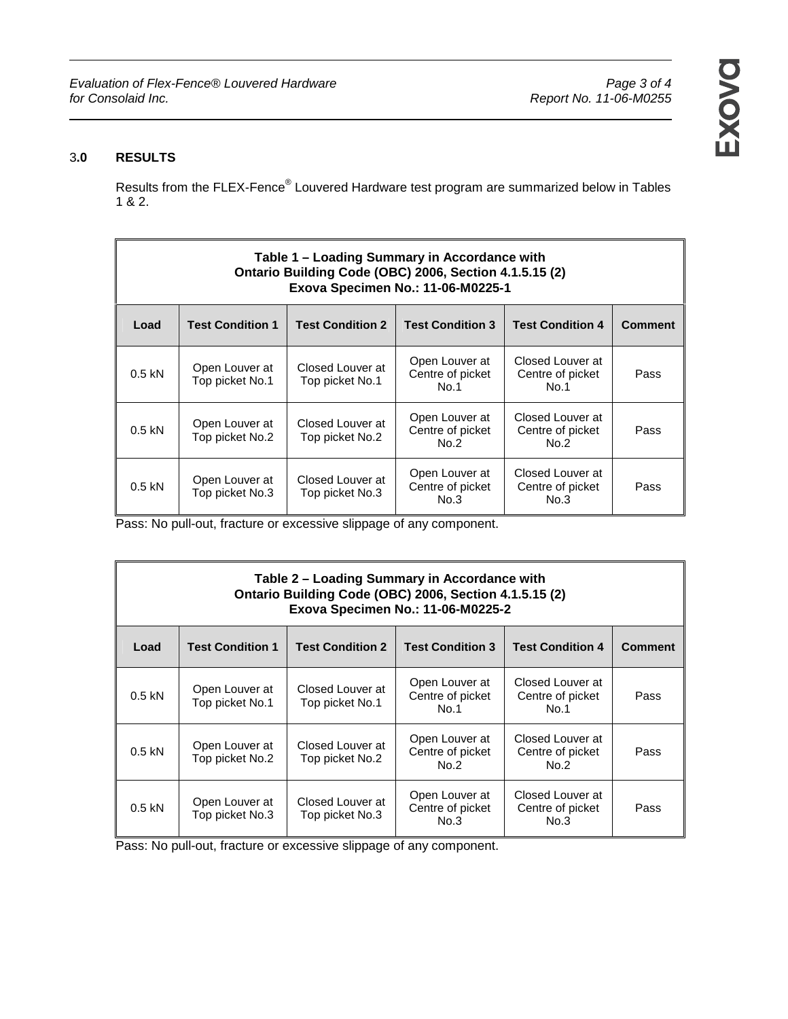## 3**.0 RESULTS**

Results from the FLEX-Fence® Louvered Hardware test program are summarized below in Tables 1 & 2.

| Table 1 – Loading Summary in Accordance with<br>Ontario Building Code (OBC) 2006, Section 4.1.5.15 (2)<br>Exova Specimen No.: 11-06-M0225-1 |                                   |                                     |                                            |                                              |                |  |
|---------------------------------------------------------------------------------------------------------------------------------------------|-----------------------------------|-------------------------------------|--------------------------------------------|----------------------------------------------|----------------|--|
| Load                                                                                                                                        | <b>Test Condition 1</b>           | <b>Test Condition 2</b>             | <b>Test Condition 3</b>                    | <b>Test Condition 4</b>                      | <b>Comment</b> |  |
| $0.5$ kN                                                                                                                                    | Open Louver at<br>Top picket No.1 | Closed Louver at<br>Top picket No.1 | Open Louver at<br>Centre of picket<br>No.1 | Closed Louver at<br>Centre of picket<br>No.1 | Pass           |  |
| $0.5$ kN                                                                                                                                    | Open Louver at<br>Top picket No.2 | Closed Louver at<br>Top picket No.2 | Open Louver at<br>Centre of picket<br>No.2 | Closed Louver at<br>Centre of picket<br>No.2 | Pass           |  |
| $0.5$ kN                                                                                                                                    | Open Louver at<br>Top picket No.3 | Closed Louver at<br>Top picket No.3 | Open Louver at<br>Centre of picket<br>No.3 | Closed Louver at<br>Centre of picket<br>No.3 | Pass           |  |

Pass: No pull-out, fracture or excessive slippage of any component.

| Table 2 - Loading Summary in Accordance with<br>Ontario Building Code (OBC) 2006, Section 4.1.5.15 (2)<br>Exova Specimen No.: 11-06-M0225-2 |                                   |                                     |                                            |                                              |                |  |
|---------------------------------------------------------------------------------------------------------------------------------------------|-----------------------------------|-------------------------------------|--------------------------------------------|----------------------------------------------|----------------|--|
| Load                                                                                                                                        | <b>Test Condition 1</b>           | <b>Test Condition 2</b>             | <b>Test Condition 3</b>                    | <b>Test Condition 4</b>                      | <b>Comment</b> |  |
| $0.5$ kN                                                                                                                                    | Open Louver at<br>Top picket No.1 | Closed Louver at<br>Top picket No.1 | Open Louver at<br>Centre of picket<br>No.1 | Closed Louver at<br>Centre of picket<br>No.1 | Pass           |  |
| $0.5$ kN                                                                                                                                    | Open Louver at<br>Top picket No.2 | Closed Louver at<br>Top picket No.2 | Open Louver at<br>Centre of picket<br>No.2 | Closed Louver at<br>Centre of picket<br>No.2 | Pass           |  |
| $0.5$ kN                                                                                                                                    | Open Louver at<br>Top picket No.3 | Closed Louver at<br>Top picket No.3 | Open Louver at<br>Centre of picket<br>No.3 | Closed Louver at<br>Centre of picket<br>No.3 | Pass           |  |

Pass: No pull-out, fracture or excessive slippage of any component.